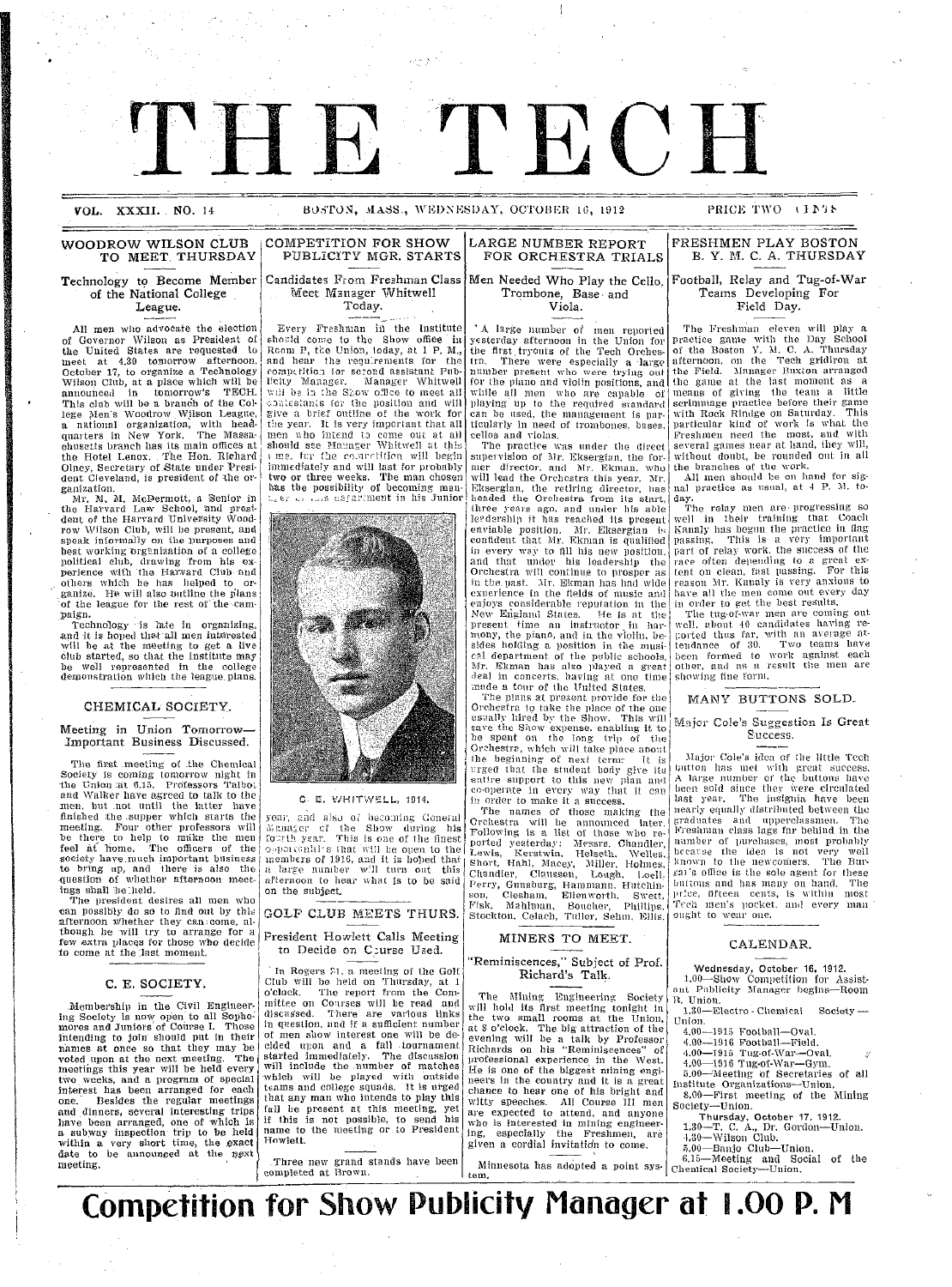**VOL. XXXIT** NO. 14 XSS., ENESAY, TOS, **OCE** , 1912 PRICE WO I *1'*  **VOL. XXXII. NO. 14 BOSTON, MASS., WEDNESDAY, OCTOBER 16, 1912** PRICE TWO **IFAIS** 

#### **WOODROW WILSON CLUB TO MEET THURSDAY**

**Technology to Become Member of the National College** League.

All men who advocate the election of Governor Wilson as President Or the United States are requested to meet at 4.30 tomorrow afternoon, October 17, to organize a Technology Wilson Club, at a place which will be annouhced in tomorrow's TECH. This club will be a brandh of the College Men's Woodrow Wilson League<br>a national organization, with head quarters in New York. The Massachuscetts branch has its main offices at the Hotel Lenox. Tile Hon. Richard Olney, Secretary of State under President Cleveland, is president of the or-

ganization.<br>- Mr. M. M. McDermott, a Senior in<br>the Harvard Law School, and president of the Harrard Univelsity Woodrow Wilson Club, will be present, and speak informally on the purposes and best working orghnization of a college political club, drawing from his ex-<br>perience with the Harvard Club and others which he has helped to organize. He will also outline the plans of the league for the rest of the campaign.

Technology is ?ate in organizing, and it is hoped that all men interested will be at the meeting to get a live club started, so that the Institute may well represented in the college demonstration which the league plans.

#### CHEMICAL' SOCIETY.

#### Meeting in Union Tomorrow-Important Business Discussed.

The first meeting of the Chemical Society is coming tomorrow night in<br>the Union at 6.15. Professors Talbot<br>and Walker have agreed to talk to the men, but not until the latter have<br>finished the supper which starts the meeting. Four other professors will be there to help to maike the men feel at home. The officers of the society have.much important business to bring up, and there is also the question of whether afternoon meetings shall )e'lheld.

The president desires all men who can possibly do so to find out by this afternoon whether they can:come, al-<br>though he will try to arrange for a few extra places for those who decide to come at the :last moment.

#### **C. E.** SOCIETY.

I

I

Membership in the Civil Engineering Society is now open to all Sopho: mores and Juniors of Course I. Those intending to join should put in their nanmes at once so that they may be voted upon at the next meeting. The<br>meetings this year will be held every<br>two weeks, and a program of special<br>interest has been arranged for each **one.** Besides the regular meetings and dinners, several interesting trips have been arranged, one of which is<br>a subway inspection trip to be held within a very short time, the exact date to be announced at the next meeting. I

**COMPETITION FOR SHOW LARGE NUMBER REPORT FRESHMEN PLAY BOSTON**<br>PUBLICITY MGR. STARTS FOR ORCHESTRA TRIALS B. Y. M. C. A. THURSDAY **Men Needed Who Play the Cello,**

Candidates From Freshman Class Meeet Manager Whitwell Today.

Every Freshman in the Institute should come to the Show office in<br>Room P, the Union, today, at 1 P.M. and hear the requirements for the<br>competition for second assistant Publicity Manager. Manager Whitwell will be in the Show office to meet all contestants for the position and will<br>give a brief outline of the work for the year. It is very important that all<br>men who intend to come out at all<br>should see Manager Whitwell at this t me. for the coluratition will begin immediately and will last for probably two or three weeks. The man chosen has the possibility of becoming man-<br>theoretic contrast us-far:ment in his Junior



#### C. E. *¥/HITV'/ELL,* 1914.

year, and also of becoming General nager cf the Show during his fourth year. This is one of the finest opportunities that will be open to the<br>members of 1916, and it is hoped that<br>a large number will turn out this afternoon to hear what is to be said on the subject.

GOLF **CLUB** MEETS THURS. President Howlett Calls Meeting

to Decide on C:urse Used. In Rogers ?1, a meeting of the Golf

Club will be held on Thursday, at 1 o'clock. The report from the Committee on Courses will be read and discm s'sed. There are various links in question, and if a sufficient number of men show interest one will be decided upon and a fall tournament<br>started immediately. The discussion<br>will include the number of matches -which will be played with outside teams and college squads. It is urged that any man who intends to play this fall be present at this meeting, yet if this is not possible, to send his name to the meeting or to President Hnwlett.

.Three new grand stands have been completed at Brown. I ·\_ ·

**Trombone, Base-and Viola.** 'A large number of men reported yesterday afternoon in the Union for the first .tryouts of the Tech Orches-tra. There were especially a large number present who were trying out

**FOR ORCHESTRA TRIALS** 

IECI

for the piano and violin positions, and while all men who are capable of<br>playing up to the required standard can be used, the management is par-<br>ticularly in need of trombones, bases. cellos and violas.

The practice was under the direct supervision of Mr. Eksergian, the former director, and Mr. Ekman, who will lead the Orchestra this year. Mr Eksergian, the retiring director, has<br>headed the Orchestra from its start<br>three years ago, and under his able<br>le?dership it has reached its present enviable position. Mr. Eksergian is<br>confident that Mr. Ekman is qualified in every way to fill his new position.<br>and that under his leadership the<br>Orchestra will continue to prosper as in the past. Mr. Ekman has had wide<br>experience in the fields of music and enjoys considerable reputation in the New England States. He is at the present time an instructor in harmony, the piano, and in the violin, be-sides holding a position in the musi-cal department of the public schools. Mr. Ekman has also played a great deal in concerts, having at one time *maide* a tour of the United States.

The plans at present provide for the<br>Orchestra to take the place of the one usually hired by the Show. This will<br>save the Show expense, enabling it to be spent on the long trip of tihe Orchestra, which will take place anout the beginning of next term. It is entire support to this new plan and co-operate in every way that it can in order to make it a success.

The names of those making the Crchestra will be announced later. Following is a list of those who reported yesterday: Messrs. Chandler,<br>Lewis, Kerstwin, Helseth, Welles.<br>Short, Hahl, Macey, Miller, Holmes.<br>Chandler, Claussen, Lough, Loell. Perry, Gunsburg, Hammanu. Hutchinson, Clesham, Ellenworth, Swett<br>Fisk, Mahlman, Boucher, Phillips Stoclkton. Celach, Tuller, Sehin, Ellis.

#### MINERS TO MEET.

#### "Reminiscences," Subject of Prof. Richard's Talk.

The Mining Engineeiring Society will hold its first meeting tonight in the two small rooms at the Union, at 8 o'clock. The big attraction of the evening will be a talk by Professor Richards on his "Reminiscences" of professional experience in the West. He is one of the biggest mining engi- neers in the country and it is a great chance to hear one of his bright and chance to hear one of his bright and witty speeches. All Course III men are expected to attend, and anyone who is interested in mining engineering, especially the Freshmen, are given a cordial invitatidn to **come.**

tem.

Football, Relay and Tug-of-War

Teams Developing For Field Day.

The Freshman eleven will play a )ractice game with the Day School of the Boston Y. M. C. A. Thursday afternoon, on the Tech gridiron at the Field. Manager Buxton arranged the game at the last moment as a means of giving the team a little scrimmage practice before their game with Rock Rindge on Saturday. This particular kind of work is what the lFreshmen need the most, and with several games near at hand, they will, without doubt, be rounded out in all the branches of the work.

All men should be on hand for sig-nal practice as usual, at 4 P. M. to-

day.<br>The relay men are progressing so<br>well in their that Coach Kanaly has begun the practice in flag passing. This is a very important part of relay work, the success of the race often depending to a great ex- tent on clean, fast passing. For this reason AMr. Kanaly is very anxious to have all the men come out every day in order to g6et the best results.

The tug-of-war, men are coming out well, about 40 candidates having reported thus far, with an average attendance of 30. Two teams have<br>been formed to work against each<br>other, and as a result the men are showing fine form.

MANY BUTTONS SOLD.

#### Major Cole's Suggestion Is Great **u.** ccess.

Major Cole's idea of the little Tech button has met with great success. A large number of the buttons have been sold since they Were circulated last year. The insignia have been nearly equally distributed between the graduates and upperclassmen. The<br>Freshman class lags far behind in the number of purchases, most probably<br>because the idea is not very well<br>known to the newcomers. The Bur sall sales the sole agent for very well<br>known to the newcomers. The Bur-<br>sal's office is the sole agent for these buttons and has many on hand. The price, fifteen cents, is within most Tech men's pocket, and every man ought to wear one.

#### CALENDAR.

Wednesday, October 16, 1912. 1.00-Show Competition for Assist-ant Publicity Manager begins-Room

B. Union. 1.30-Electro - Chemical Society - Union.

4.00-1915 Football-Oval.

4.00—1916 Football—Field.<br>4.00—1915 Tug-of-War—Oval. , ,

4.00--1916 Tug-of-War-Gym . 5.00- Meeting of Secretaries of all

Institute Organizations--Union. 8.00-First meeting of the Mining Society-Union.

Thursday, October 17, 1912. 1.30-T. C. A., Dr. Gordon-Union. -4.30-Wilson Club.

5.00-Banjo Club-Union.

Minnesota has adopted a **point** sys-6.15-Meeting and Social of the Chemical Society-Union.

**Competition for Show Publicity Manager at 1.00 P.** <sup>M</sup>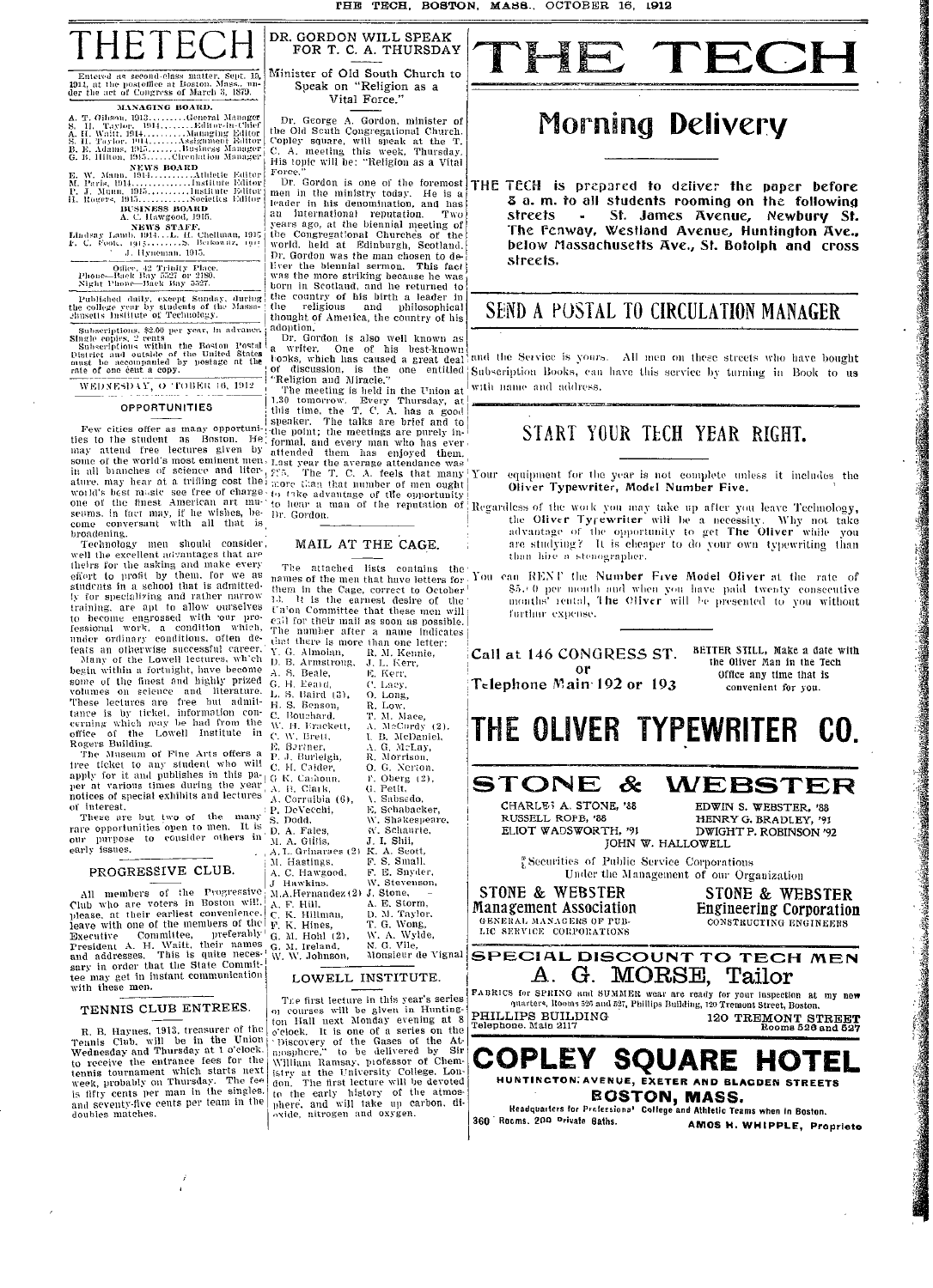

# Entered as second-class matter, Sept. 15,<br>1911, at the postoffice at Boston, Mass., under the act of Congress of March 3, 1879.

MANAGING BOARD.

- 
- 
- 

# Office, 42 Trinity Place<br>Phone—Back Bay 5527 or 2180.<br>Night Phone—Back Bay 5527.

Published daily, except Sunday, during<br>the college year by students of the Massa-<br>chusetts Institute of Technology.

Subscriptions. \$2.00 per year, in advance.<br>Single copies, 2 cents<br>Subscriptions within the Roston Postal<br>District and outside of the United States<br>outs be accompanied by postage at the<br>rate of one cent a copy.

WEDNESDAY, O 'FOBER 16, 1912

#### **OPPORTUNITIES**

Few cities offer as many opportunities to the student as Boston. He<br>has a titled free lectures given by<br>some of the world's most eminent men,<br>in all bianches of science and literature, may hear at a trifling cost the ature, may near at a timing cost tar.<br>wold's best masic see free of charge.<br>one of the finest American art mu-<br>seams, in fact may, if he wishes, be-<br>come conversant with all that is<br>broadening.

froadening.<br>Technology men should consider<br>well the excellent advantages that are<br>theirs for the asking and make every<br>effort to profit by them, for we as<br>students in a school that is admitted. students in a school that is admitted-<br>ly for specializing and rather narrow<br>training, are apt to allow ourselves<br>to become engrossed with our pro-<br>tessional work, a condition which,<br>mader ordinary conditions, often de-<br>fe begin within a fortuight, have become<br>some of the finest and highly prized<br>volumes on science and literature.<br>These lectures are free but admit-<br>tance is by ticket, information con-<br>cerning which may be had from the<br>office

 $\Lambda$ .

L.

 $\mathbf{C}$ 

 $\overline{\rm M}$ 

rogers Building,<br>The Museum of Fine Arts offers a<br>tree ticket to any student who will<br>apply for it and publishes in this pa-<br>per at various times during the year<br>notices of special exhibits and lectures  $\mathcal{C}$ .  $\overline{a}$ interest. Р.

These are but two of the many rare opportunities open to men. It is<br>our purpose to consider others in early issues.

#### PROGRESSIVE CLUB.

All members of the Progressive<br>Club who are voters in Boston will,<br>please, at their earliest convenience.<br>leave with one of the members of the Executive Committee, preferably<br>Executive Committee, preferably<br>President A. H. Waitt, their names<br>and addresses. This is quite neces-<br>sary in order that the State Commit-<br>tee may get in instant communication  ${\bf G}.$ with these men.

#### TENNIS CLUB ENTREES.

R. B. Haynes,  $1913$ , treasurer of the Tennis Club, will be in the Union Wednesday and Thursday at 1 o'clock.<br>to receive the entrance fees for the tennis tournament which starts next week, probably on Thursday. The fee is and seventy-five cents per team in the<br>doubles matches.

FOR T. C. A. THURSDAY Minister of Old South Church to Speak on "Religion as a Vital Force."

DR. GORDON WILL SPEAK

Dr. George A. Gordon, minister of<br>the Old Scuth Congregational Church.<br>Copley square, will speak at the T.<br>C. A. meeting this week, Thursday. His topic will be: "Religion as a Vital Force.

 $\frac{1}{2}$  Cordon is one of the foremost Dr. sortion is one of the foremost<br>men in the ministry today. He is a<br>leader in his denomination, and has leader in his denomination, and has<br>an international reputation. Two<br>years ago, at the biennial meeting of<br>the Congregational Churches of the<br>world, held at Edinburgh, Scotland.<br>Dr. Gordon was the man chosen to de-<br>liver shorn in Scotland, and he returned to<br>the country of his birth a leader in<br>the religious and philosophical thought of America, the country of his adoption.

adoption,<br>
Dr. Gordon is also well known as<br>
a writer. One of his best-known<br>
t-ooks, which has caused a great deal<br>
of discussion, is the one entitled<br>
"Religion and Miracle."

"Religion and Miracle."<br>The meeting is held in the Union at<br>1.30 tomorrow. Every Thursday, at<br>1.118 time, the T. C. A. has a good<br>speaker. The talks are brief and to<br>1.11e point; the meetings are purely in-<br>1.60 fromal, a Dr. Gordon.

#### MAIL AT THE CAGE.

The attached lists contains the names of the men that have letters for You them in the Cage, correct to October<sup>1</sup> It is the earnest desire of 15. It is the earnest desire of the<br>time of militte that these men will<br>call for their mail as soon as possible.<br>The number after a name indicates<br>that there is more than one letter: Y. G. Almoian,<br>D. B. Armstrong, R. M. Kennie,<br>J. L. Kennie, **E.** Kerr,<br>C. Laey,<br>O. Long,<br>R. Low,  $\mathbf{S}$ . Beale. G. H. Eeard, S. Baird (3). H. S. Benson, T. M. Mace,<br>A. McCurdy (2). **Bouchard** - Bouenard.<br>, H. Frackett,<br>W. Brett, Ñ۰ I. B. McDaniel. Bartner,<br>J. Burleigh, G. McLay,<br>Morrison,  $\ddot{R}$ 0. G. Nerton,<br>F. Oberg (2), H. Calder, K. Cashoun. B. Clark G. Petit. Corruibia (6), Sabsedo, E. Schabacker. DeVecchi. S. Devecent<br>S. Dodd.<br>D. A. Fales, W. Shakespeare.<br>W. Schaurte, J. I. Shii,<br>K. A. Scott,<br>F. S. Small. A. Gillis A. L. Grinaraes (2) M. Hastings. F. E. Snyder. A. C. Hawgood, Hawkins. W. Stevenson,  $M.A.Hernanidez (2) J. SteveB. A. F. Hill. A. E. Storm, A. F. Hill. D. M. Taylor. F. K. Hilms, T. G. Wong. T. G. Wong.$ W. A. Wylde,<br>W. A. Wylde,<br>Monsieur de Vignal M. Hohl (2), M. Ireland, W. W. Johnson,

#### LOWELL INSTITUTE.

The first lecture in this year's series<br>on courses will be given in Hunting-<br>ton Hall next Monday evening at 8<br>c'elock. It is one of a series on the<br>'Discovery of the Gases of the At-<br>mosphere," to be delivered by Sir-<br>Wil the early history of the atmos-<br>phere, and will take up carbon, di-<br>oxide, nitrogen and oxygen.

TECH  $\blacktriangleleft$ 

# **Morning Delivery**

THE TECH is prepared to deliver the paper before 3 a.m. to all students rooming on the following St. James Avenue, Newbury St. streets The Fenway, Westland Avenue, Huntington Ave., below Massachusetts Ave., St. Botolph and cross streets

## SEND A POSTAL TO CIRCULATION MANAGER

and the Service is yours. All men on these streets who have bought Subscription Books, can have this service by turning in Book to us with name and address.

## START YOUR TECH YEAR RIGHT.

equipment for the year is not complete unless it includes the Oliver Typewriter, Model Number Five. Your

Regardless of the work you may take up after you leave Technology, the Oliver Typewriter will be a necessity. Why not advantage of the opportunity to get The Oliver while Why not take you are studying? It is cheaper to do your own typewriting than than hire a stenographer.

can RENT the Number Five Model Oliver at the rate of 85.0 per month and when you have paid twenty consecutive months' rental, The Cliver will be presented to you without furthur expense.

Call at 146 CONGRESS ST. or Telephone Main 192 or 193

BETTER STILL. Make a date with the Oliver Man in the Tech Office any time that is convenient for you.

THE OLIVER TYPEWRITER CO.

STONE  $\boldsymbol{\mathcal{X}}$ 

CHARLE<sub>3</sub> A. STONE, '88 RUSSELL ROFB, '88 ELIOT WADSWORTH, '91

WEBSTER EDWIN S. WEBSTER, '88 HENRY G. BRADLEY, '91 DWIGHT P. ROBINSON '92 JOHN W. HALLOWELL

Securities of Public Service Corporations Under the Management of our Organization

STONE & WEBSTER **STONE & WEBSTER** 

**Engineering Corporation Management Association** GENERAL MANAGERS OF PUB-<br>LIC SERVICE CORPORATIONS CONSTRUCTING ENGINEERS

**SPECIAL DISCOUNT TO TECH MEN** A. G. MORSE, Tailor

FABRICS for SPRING and SUMMER wear are ready for your inspection at my new<br>quarters, Rooms 525 and 527, Phillips Building, 120 Tremont Street, Boston. PHILLIPS BUILDING<br>Telephone. Main 2117 120 TREMONT STREET



AMOS H. WHIPPLE, Proprieto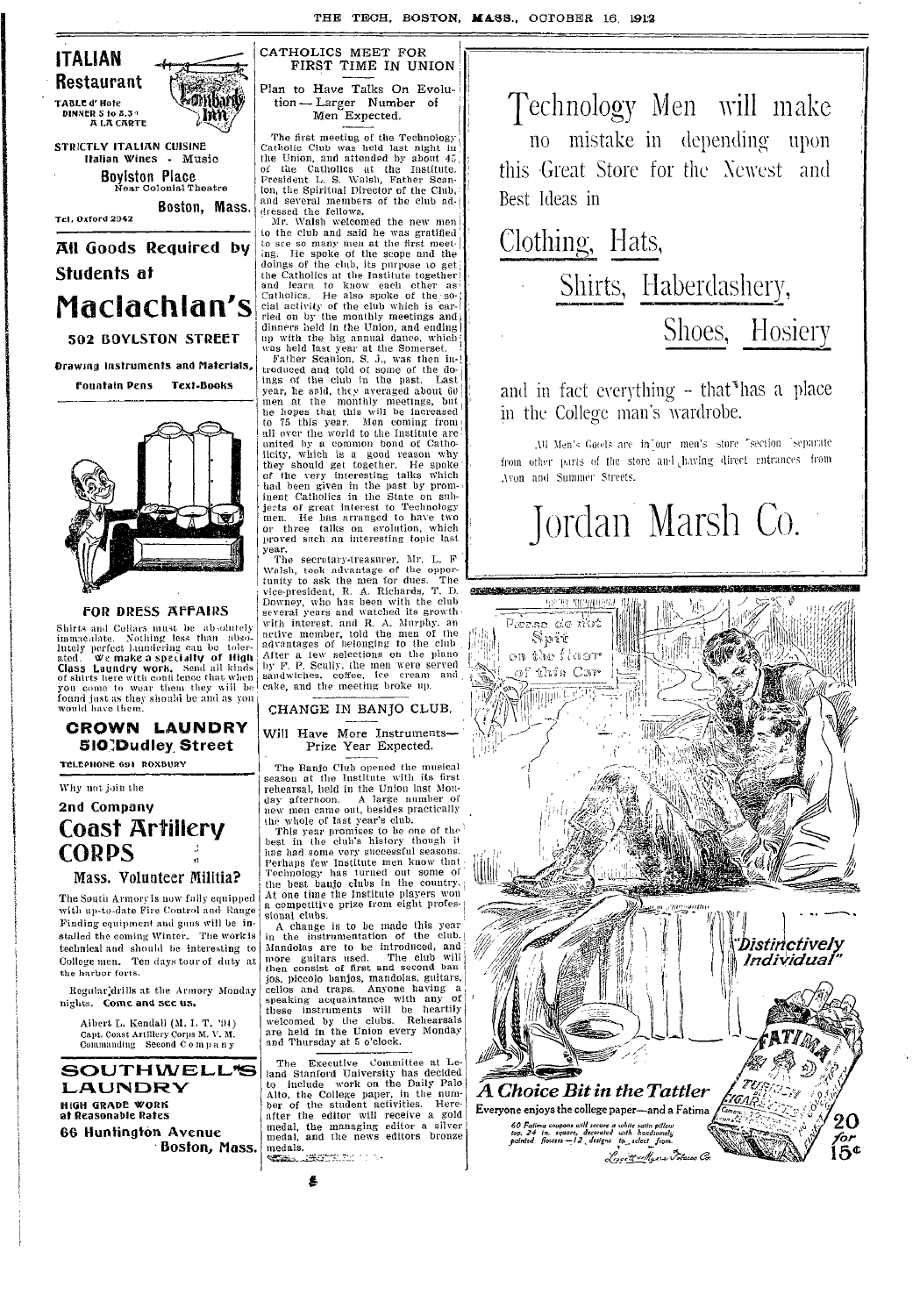THE TECH, BOSTON, MASS., OCTOBER 16, 1912



**Boylston Place**<br>Near Colonial Theatre Boston, Mass.

Tel. Oxford 2942

All Goods Required by Students at Maclachlan's 502 BOYLSTON STREET

**Drawing Instruments and Materials Fountain Pens** Text-Books



#### **FOR DRESS AFFAIRS**

Shirts and Collars must be absolutely<br>immacalate. Nothing less than absolutely<br>immacalate. Nothing less than absolutely<br>perfect laundering can be toler-<br>ated. We make a specialty of High<br>Class Laundry work. Send all kinds<br> you come to wear them they will be<br>found just as they should be and as you<br>would have them.

### CROWN LAUNDRY **510 Dudley Street**

TELEPHONE 691 ROXBURY

Why not join the

# 2nd Company **Coast Artillery CORPS**

#### Mass. Volunteer Militia?

The South Armory is now fully equipped. with up-to-date Fire Control and Range Finding equipment and guns will be installed the coming Winter. The work is technical and should be interesting to College men. Ten days tour of duty at the harbor forts.

Regular drills at the Armory Monday nights. Come and see us,

> Albert L. Kendall (M. I. T. '94) Capt. Coast Artillery Corps M. V. M.<br>Commanding Second C o m p a n y

**SOUTHWELL\*S LAUNDRY HIGH GRADE WORK<br>at Reasonable Rates 66 Huntington Avenue** Boston, Mass.

CATHOLICS MEET FOR FIRST TIME IN UNION Plan to Have Talks On Evolu- $\lim_{x \to -}$  Larger Number of Men Expected.

The first meeting of the Technology<br>Catholic Club was held last night in<br>the Union, and attended by about  $45$ ,<br>of the Catholics at the Institute.<br>Fresident L. S. Waish, Father Scan-<br>ton, the Spiritual Director of the Clu and several members of the club ad-<br>dressed the fellows.<br>Mr. Walsh welcomed the new men

to the club and said he was gratified to see so many men at the first meeting. He spoke of the scope and the doings of the club, its purpose to get the Catholics at the Institute together<br>and learn to know each other as<br>Catholics. He also spoke of the social activity of the club which is carried on by the monthly meetings and dinners held in the Union, and ending unners nent in the canon, and ending<br>top with the big annual dance, which<br>was held last year at the Somerset.

Father Scanion, S. J., was then in-<br>troduced and told of some of the do-<br>ings of the club in the past. Last ings of the club in the past. Last year, he said, they averaged about 60 men at the monthly meetings, but he hopes that this will be increased to 75 this year. Men coming from  $\sin \theta$  all over the world to the Institute ar exist of great interest to Technology<br>men. He has arranged to have two<br>or three talks on evolution, which<br>proved such an interesting topic last year.

The secretary-treasurer, Mr. L. F The secretary-treasurer,  $\hat{m}r$ , L. F<br>Walsh, took advantage of the oppor-<br>tunity to ask the men for dues. The<br>vice-president, R. A. Richards, T. D.<br>Downey, who has been with the club<br>several years and watched its growth several years and watched its growth<br>with interest, and R. A. Murphy, an<br>active member, told the men of the<br>advantages of belonging to the club<br>After a tew selections on the piano<br>by F. P. Scully, the men were served<br>sandw

CHANGE IN BANJO CLUB. Will Have More Instruments

# Prize Year Expected.

The Banjo Club opened the musical<br>season at the Institute with its first rehearsal, held in the Union last Monday afternoon. A large number of new men came out, besides practically

new men came out, besides practically<br>the whole of last year's club.<br>This year promises to be one of the<br>best in the club's history though it<br>has had some very successful seasons.<br>Perhaps few Institute men know that Technology has turned out some of the best banjo clubs in the country. At one time the Institute players won<br>a competitive prize from eight professional clubs.

A change is to be made this year<br>in the instrumentation of the club. Mandolas are to be introduced, and<br>more guitars used. The club will<br>then consist of first and second ban jos, piecolo banjos, mandolas, guitars, cellos and traps. Anyone having a jos, piecīno banjos, mandonas, gautas, apiedades and traps. Anyone having a speaking acquaintance with any of these instruments will be heartily welcomed by the clubs. Rehearsals are held in the Union every Monday and Thur of

The Executive Committee at Le-<br>land Stanford University has decided<br>to include work on the Daily Palo<br>Alto, the College paper, in the num-<br>ber of the student activities. Here<br>after the editor will receive a gold<br>medal, the medals. **START RESEARCHERS** 



Technology Men will make no mistake in depending upon this Great Store for the Newest and Best Ideas in

Clothing, Hats, Shirts, Haberdashery, Shoes, Hosiery

and in fact everything – that<sup>s</sup> has a place in the College man's wardrobe.

All Men's Goods are in our men's store "section separate from other parts of the store and having direct entrances from Avon and Summer Streets.

# Jordan Marsh Co.